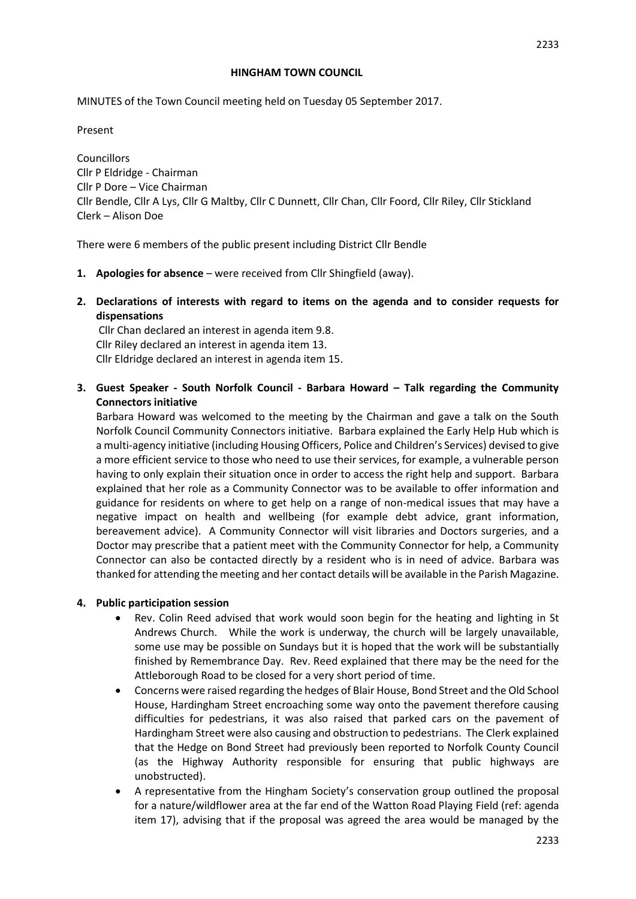#### **HINGHAM TOWN COUNCIL**

MINUTES of the Town Council meeting held on Tuesday 05 September 2017.

Present

Councillors Cllr P Eldridge - Chairman Cllr P Dore – Vice Chairman Cllr Bendle, Cllr A Lys, Cllr G Maltby, Cllr C Dunnett, Cllr Chan, Cllr Foord, Cllr Riley, Cllr Stickland Clerk – Alison Doe

There were 6 members of the public present including District Cllr Bendle

- **1. Apologies for absence**  were received from Cllr Shingfield (away).
- **2. Declarations of interests with regard to items on the agenda and to consider requests for dispensations**

Cllr Chan declared an interest in agenda item 9.8. Cllr Riley declared an interest in agenda item 13. Cllr Eldridge declared an interest in agenda item 15.

**3. Guest Speaker - South Norfolk Council - Barbara Howard – Talk regarding the Community Connectors initiative**

Barbara Howard was welcomed to the meeting by the Chairman and gave a talk on the South Norfolk Council Community Connectors initiative. Barbara explained the Early Help Hub which is a multi-agency initiative (including Housing Officers, Police and Children's Services) devised to give a more efficient service to those who need to use their services, for example, a vulnerable person having to only explain their situation once in order to access the right help and support. Barbara explained that her role as a Community Connector was to be available to offer information and guidance for residents on where to get help on a range of non-medical issues that may have a negative impact on health and wellbeing (for example debt advice, grant information, bereavement advice). A Community Connector will visit libraries and Doctors surgeries, and a Doctor may prescribe that a patient meet with the Community Connector for help, a Community Connector can also be contacted directly by a resident who is in need of advice. Barbara was thanked for attending the meeting and her contact details will be available in the Parish Magazine.

### **4. Public participation session**

- Rev. Colin Reed advised that work would soon begin for the heating and lighting in St Andrews Church. While the work is underway, the church will be largely unavailable, some use may be possible on Sundays but it is hoped that the work will be substantially finished by Remembrance Day. Rev. Reed explained that there may be the need for the Attleborough Road to be closed for a very short period of time.
- Concerns were raised regarding the hedges of Blair House, Bond Street and the Old School House, Hardingham Street encroaching some way onto the pavement therefore causing difficulties for pedestrians, it was also raised that parked cars on the pavement of Hardingham Street were also causing and obstruction to pedestrians. The Clerk explained that the Hedge on Bond Street had previously been reported to Norfolk County Council (as the Highway Authority responsible for ensuring that public highways are unobstructed).
- A representative from the Hingham Society's conservation group outlined the proposal for a nature/wildflower area at the far end of the Watton Road Playing Field (ref: agenda item 17), advising that if the proposal was agreed the area would be managed by the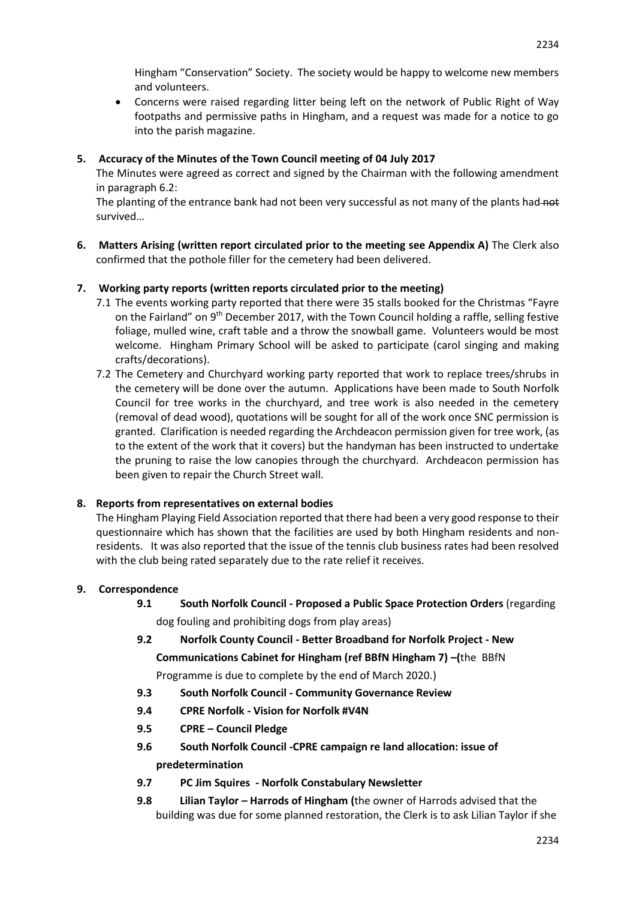Hingham "Conservation" Society. The society would be happy to welcome new members and volunteers.

 Concerns were raised regarding litter being left on the network of Public Right of Way footpaths and permissive paths in Hingham, and a request was made for a notice to go into the parish magazine.

### **5. Accuracy of the Minutes of the Town Council meeting of 04 July 2017**

The Minutes were agreed as correct and signed by the Chairman with the following amendment in paragraph 6.2:

The planting of the entrance bank had not been very successful as not many of the plants had not survived…

**6. Matters Arising (written report circulated prior to the meeting see Appendix A)** The Clerk also confirmed that the pothole filler for the cemetery had been delivered.

### **7. Working party reports (written reports circulated prior to the meeting)**

- 7.1 The events working party reported that there were 35 stalls booked for the Christmas "Fayre on the Fairland" on 9<sup>th</sup> December 2017, with the Town Council holding a raffle, selling festive foliage, mulled wine, craft table and a throw the snowball game. Volunteers would be most welcome. Hingham Primary School will be asked to participate (carol singing and making crafts/decorations).
- 7.2 The Cemetery and Churchyard working party reported that work to replace trees/shrubs in the cemetery will be done over the autumn. Applications have been made to South Norfolk Council for tree works in the churchyard, and tree work is also needed in the cemetery (removal of dead wood), quotations will be sought for all of the work once SNC permission is granted. Clarification is needed regarding the Archdeacon permission given for tree work, (as to the extent of the work that it covers) but the handyman has been instructed to undertake the pruning to raise the low canopies through the churchyard. Archdeacon permission has been given to repair the Church Street wall.

### **8. Reports from representatives on external bodies**

The Hingham Playing Field Association reported that there had been a very good response to their questionnaire which has shown that the facilities are used by both Hingham residents and nonresidents. It was also reported that the issue of the tennis club business rates had been resolved with the club being rated separately due to the rate relief it receives.

### **9. Correspondence**

- **9.1 South Norfolk Council - Proposed a Public Space Protection Orders** (regarding dog fouling and prohibiting dogs from play areas)
- **9.2 Norfolk County Council - Better Broadband for Norfolk Project - New Communications Cabinet for Hingham (ref BBfN Hingham 7) –(**the BBfN Programme is due to complete by the end of March 2020.)
- **9.3 South Norfolk Council - Community Governance Review**
- **9.4 CPRE Norfolk - Vision for Norfolk #V4N**
- **9.5 CPRE – Council Pledge**
- **9.6 South Norfolk Council -CPRE campaign re land allocation: issue of predetermination**
- **9.7 PC Jim Squires - Norfolk Constabulary Newsletter**
- **9.8 Lilian Taylor – Harrods of Hingham (**the owner of Harrods advised that the building was due for some planned restoration, the Clerk is to ask Lilian Taylor if she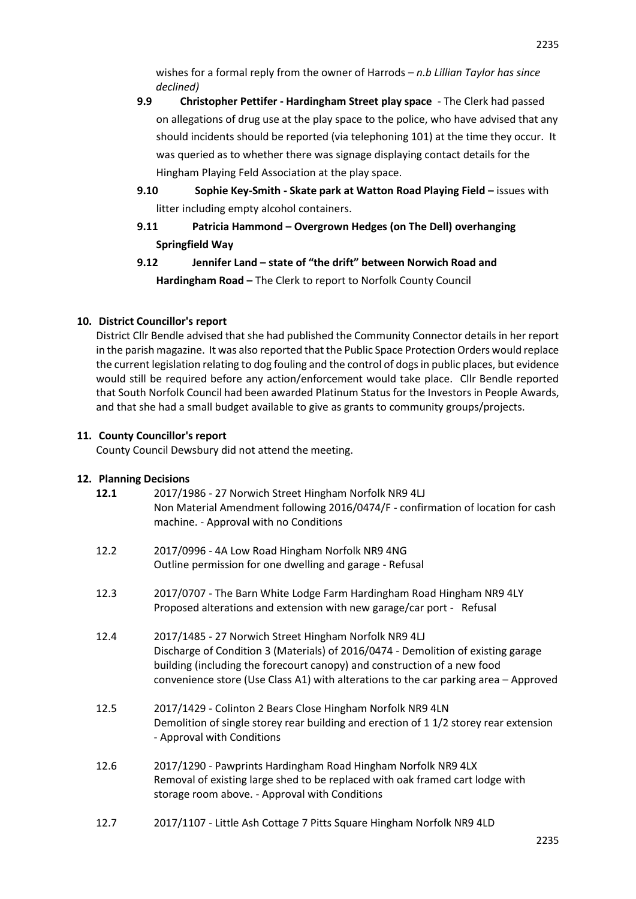wishes for a formal reply from the owner of Harrods – *n.b Lillian Taylor has since declined)*

- **9.9 Christopher Pettifer - Hardingham Street play space** The Clerk had passed on allegations of drug use at the play space to the police, who have advised that any should incidents should be reported (via telephoning 101) at the time they occur. It was queried as to whether there was signage displaying contact details for the Hingham Playing Feld Association at the play space.
- **9.10 Sophie Key-Smith - Skate park at Watton Road Playing Field –** issues with litter including empty alcohol containers.
- **9.11 Patricia Hammond – Overgrown Hedges (on The Dell) overhanging Springfield Way**
- **9.12 Jennifer Land – state of "the drift" between Norwich Road and Hardingham Road –** The Clerk to report to Norfolk County Council

# **10. District Councillor's report**

District Cllr Bendle advised that she had published the Community Connector details in her report in the parish magazine. It was also reported that the Public Space Protection Orders would replace the current legislation relating to dog fouling and the control of dogs in public places, but evidence would still be required before any action/enforcement would take place. Cllr Bendle reported that South Norfolk Council had been awarded Platinum Status for the Investors in People Awards, and that she had a small budget available to give as grants to community groups/projects.

# **11. County Councillor's report**

County Council Dewsbury did not attend the meeting.

# **12. Planning Decisions**

| 12.1 | 2017/1986 - 27 Norwich Street Hingham Norfolk NR9 4LJ<br>Non Material Amendment following 2016/0474/F - confirmation of location for cash<br>machine. - Approval with no Conditions                                                                                                                            |
|------|----------------------------------------------------------------------------------------------------------------------------------------------------------------------------------------------------------------------------------------------------------------------------------------------------------------|
| 12.2 | 2017/0996 - 4A Low Road Hingham Norfolk NR9 4NG<br>Outline permission for one dwelling and garage - Refusal                                                                                                                                                                                                    |
| 12.3 | 2017/0707 - The Barn White Lodge Farm Hardingham Road Hingham NR9 4LY<br>Proposed alterations and extension with new garage/car port - Refusal                                                                                                                                                                 |
| 12.4 | 2017/1485 - 27 Norwich Street Hingham Norfolk NR9 4LJ<br>Discharge of Condition 3 (Materials) of 2016/0474 - Demolition of existing garage<br>building (including the forecourt canopy) and construction of a new food<br>convenience store (Use Class A1) with alterations to the car parking area - Approved |
| 12.5 | 2017/1429 - Colinton 2 Bears Close Hingham Norfolk NR9 4LN<br>Demolition of single storey rear building and erection of 11/2 storey rear extension<br>- Approval with Conditions                                                                                                                               |
| 12.6 | 2017/1290 - Pawprints Hardingham Road Hingham Norfolk NR9 4LX<br>Removal of existing large shed to be replaced with oak framed cart lodge with<br>storage room above. - Approval with Conditions                                                                                                               |

12.7 2017/1107 - Little Ash Cottage 7 Pitts Square Hingham Norfolk NR9 4LD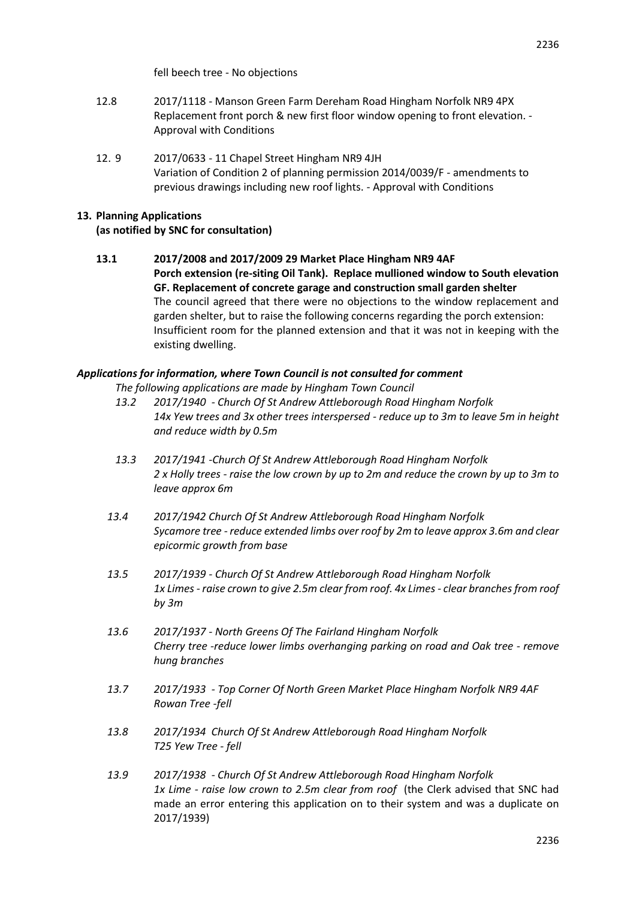- 12.8 2017/1118 Manson Green Farm Dereham Road Hingham Norfolk NR9 4PX Replacement front porch & new first floor window opening to front elevation. - Approval with Conditions
- 12. 9 2017/0633 11 Chapel Street Hingham NR9 4JH Variation of Condition 2 of planning permission 2014/0039/F - amendments to previous drawings including new roof lights. - Approval with Conditions

# **13. Planning Applications**

## **(as notified by SNC for consultation)**

**13.1 2017/2008 and 2017/2009 29 Market Place Hingham NR9 4AF Porch extension (re-siting Oil Tank). Replace mullioned window to South elevation GF. Replacement of concrete garage and construction small garden shelter** The council agreed that there were no objections to the window replacement and garden shelter, but to raise the following concerns regarding the porch extension: Insufficient room for the planned extension and that it was not in keeping with the existing dwelling.

### *Applications for information, where Town Council is not consulted for comment*

*The following applications are made by Hingham Town Council*

- *13.2 2017/1940 - Church Of St Andrew Attleborough Road Hingham Norfolk 14x Yew trees and 3x other trees interspersed - reduce up to 3m to leave 5m in height and reduce width by 0.5m*
- *13.3 2017/1941 -Church Of St Andrew Attleborough Road Hingham Norfolk 2 x Holly trees - raise the low crown by up to 2m and reduce the crown by up to 3m to leave approx 6m*
- *13.4 2017/1942 Church Of St Andrew Attleborough Road Hingham Norfolk Sycamore tree - reduce extended limbs over roof by 2m to leave approx 3.6m and clear epicormic growth from base*
- *13.5 2017/1939 - Church Of St Andrew Attleborough Road Hingham Norfolk 1x Limes - raise crown to give 2.5m clear from roof. 4x Limes - clear branches from roof by 3m*
- *13.6 2017/1937 - North Greens Of The Fairland Hingham Norfolk Cherry tree -reduce lower limbs overhanging parking on road and Oak tree - remove hung branches*
- *13.7 2017/1933 - Top Corner Of North Green Market Place Hingham Norfolk NR9 4AF Rowan Tree -fell*
- *13.8 2017/1934 Church Of St Andrew Attleborough Road Hingham Norfolk T25 Yew Tree - fell*
- *13.9 2017/1938 - Church Of St Andrew Attleborough Road Hingham Norfolk 1x Lime - raise low crown to 2.5m clear from roof* (the Clerk advised that SNC had made an error entering this application on to their system and was a duplicate on 2017/1939)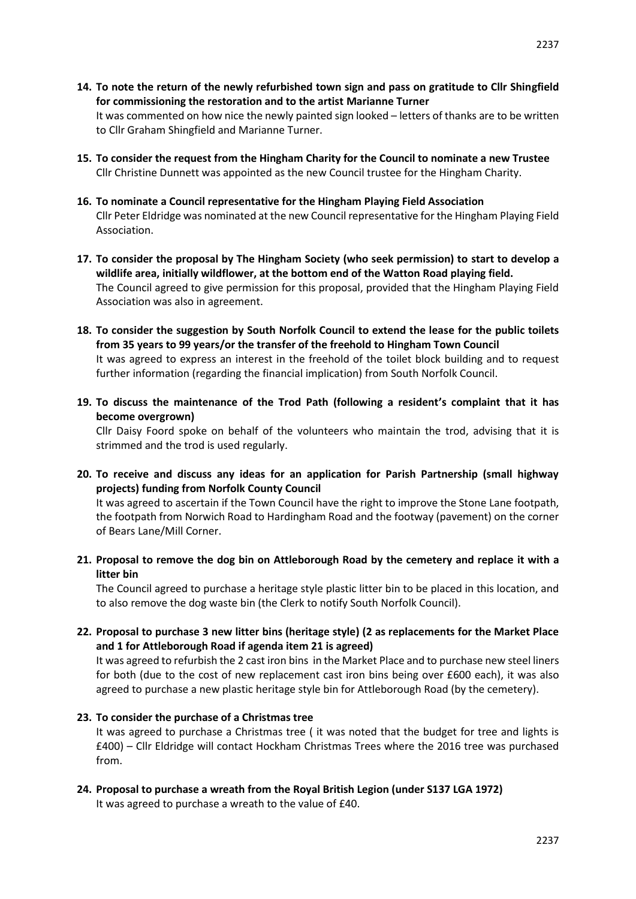**14. To note the return of the newly refurbished town sign and pass on gratitude to Cllr Shingfield for commissioning the restoration and to the artist Marianne Turner**

It was commented on how nice the newly painted sign looked – letters of thanks are to be written to Cllr Graham Shingfield and Marianne Turner.

- **15. To consider the request from the Hingham Charity for the Council to nominate a new Trustee** Cllr Christine Dunnett was appointed as the new Council trustee for the Hingham Charity.
- **16. To nominate a Council representative for the Hingham Playing Field Association** Cllr Peter Eldridge was nominated at the new Council representative for the Hingham Playing Field Association.
- **17. To consider the proposal by The Hingham Society (who seek permission) to start to develop a wildlife area, initially wildflower, at the bottom end of the Watton Road playing field.** The Council agreed to give permission for this proposal, provided that the Hingham Playing Field Association was also in agreement.
- **18. To consider the suggestion by South Norfolk Council to extend the lease for the public toilets from 35 years to 99 years/or the transfer of the freehold to Hingham Town Council** It was agreed to express an interest in the freehold of the toilet block building and to request further information (regarding the financial implication) from South Norfolk Council.
- **19. To discuss the maintenance of the Trod Path (following a resident's complaint that it has become overgrown)**

Cllr Daisy Foord spoke on behalf of the volunteers who maintain the trod, advising that it is strimmed and the trod is used regularly.

**20. To receive and discuss any ideas for an application for Parish Partnership (small highway projects) funding from Norfolk County Council** 

It was agreed to ascertain if the Town Council have the right to improve the Stone Lane footpath, the footpath from Norwich Road to Hardingham Road and the footway (pavement) on the corner of Bears Lane/Mill Corner.

**21. Proposal to remove the dog bin on Attleborough Road by the cemetery and replace it with a litter bin**

The Council agreed to purchase a heritage style plastic litter bin to be placed in this location, and to also remove the dog waste bin (the Clerk to notify South Norfolk Council).

**22. Proposal to purchase 3 new litter bins (heritage style) (2 as replacements for the Market Place and 1 for Attleborough Road if agenda item 21 is agreed)**

It was agreed to refurbish the 2 cast iron bins in the Market Place and to purchase new steel liners for both (due to the cost of new replacement cast iron bins being over £600 each), it was also agreed to purchase a new plastic heritage style bin for Attleborough Road (by the cemetery).

### **23. To consider the purchase of a Christmas tree**

It was agreed to purchase a Christmas tree ( it was noted that the budget for tree and lights is £400) – Cllr Eldridge will contact Hockham Christmas Trees where the 2016 tree was purchased from.

**24. Proposal to purchase a wreath from the Royal British Legion (under S137 LGA 1972)** It was agreed to purchase a wreath to the value of £40.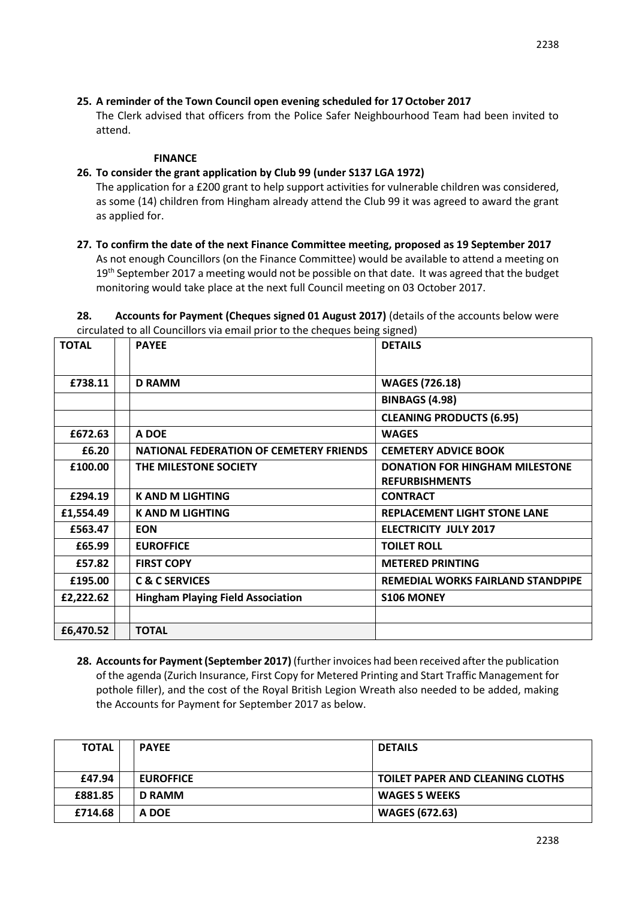# **25. A reminder of the Town Council open evening scheduled for 17October 2017**

The Clerk advised that officers from the Police Safer Neighbourhood Team had been invited to attend.

### **FINANCE**

### **26. To consider the grant application by Club 99 (under S137 LGA 1972)**

The application for a £200 grant to help support activities for vulnerable children was considered, as some (14) children from Hingham already attend the Club 99 it was agreed to award the grant as applied for.

**27. To confirm the date of the next Finance Committee meeting, proposed as 19 September 2017** As not enough Councillors (on the Finance Committee) would be available to attend a meeting on 19<sup>th</sup> September 2017 a meeting would not be possible on that date. It was agreed that the budget monitoring would take place at the next full Council meeting on 03 October 2017.

**28. Accounts for Payment (Cheques signed 01 August 2017)** (details of the accounts below were circulated to all Councillors via email prior to the cheques being signed)

| <b>TOTAL</b> | <b>PAYEE</b>                                   | <b>DETAILS</b>                        |
|--------------|------------------------------------------------|---------------------------------------|
| £738.11      | <b>D RAMM</b>                                  | <b>WAGES (726.18)</b>                 |
|              |                                                | <b>BINBAGS (4.98)</b>                 |
|              |                                                | <b>CLEANING PRODUCTS (6.95)</b>       |
| £672.63      | A DOE                                          | <b>WAGES</b>                          |
| £6.20        | <b>NATIONAL FEDERATION OF CEMETERY FRIENDS</b> | <b>CEMETERY ADVICE BOOK</b>           |
| £100.00      | THE MILESTONE SOCIETY                          | <b>DONATION FOR HINGHAM MILESTONE</b> |
|              |                                                | <b>REFURBISHMENTS</b>                 |
| £294.19      | <b>K AND M LIGHTING</b>                        | <b>CONTRACT</b>                       |
| £1,554.49    | <b>K AND M LIGHTING</b>                        | <b>REPLACEMENT LIGHT STONE LANE</b>   |
| £563.47      | <b>EON</b>                                     | <b>ELECTRICITY JULY 2017</b>          |
| £65.99       | <b>EUROFFICE</b>                               | <b>TOILET ROLL</b>                    |
| £57.82       | <b>FIRST COPY</b>                              | <b>METERED PRINTING</b>               |
| £195.00      | <b>C &amp; C SERVICES</b>                      | REMEDIAL WORKS FAIRLAND STANDPIPE     |
| £2,222.62    | <b>Hingham Playing Field Association</b>       | <b>S106 MONEY</b>                     |
|              |                                                |                                       |
| £6,470.52    | <b>TOTAL</b>                                   |                                       |

**28. Accounts for Payment (September 2017)** (further invoices had been received after the publication of the agenda (Zurich Insurance, First Copy for Metered Printing and Start Traffic Management for pothole filler), and the cost of the Royal British Legion Wreath also needed to be added, making the Accounts for Payment for September 2017 as below.

| <b>TOTAL</b> | <b>PAYEE</b>     | <b>DETAILS</b>                          |
|--------------|------------------|-----------------------------------------|
|              |                  |                                         |
| £47.94       | <b>EUROFFICE</b> | <b>TOILET PAPER AND CLEANING CLOTHS</b> |
| £881.85      | <b>D RAMM</b>    | <b>WAGES 5 WEEKS</b>                    |
| £714.68      | A DOE            | <b>WAGES (672.63)</b>                   |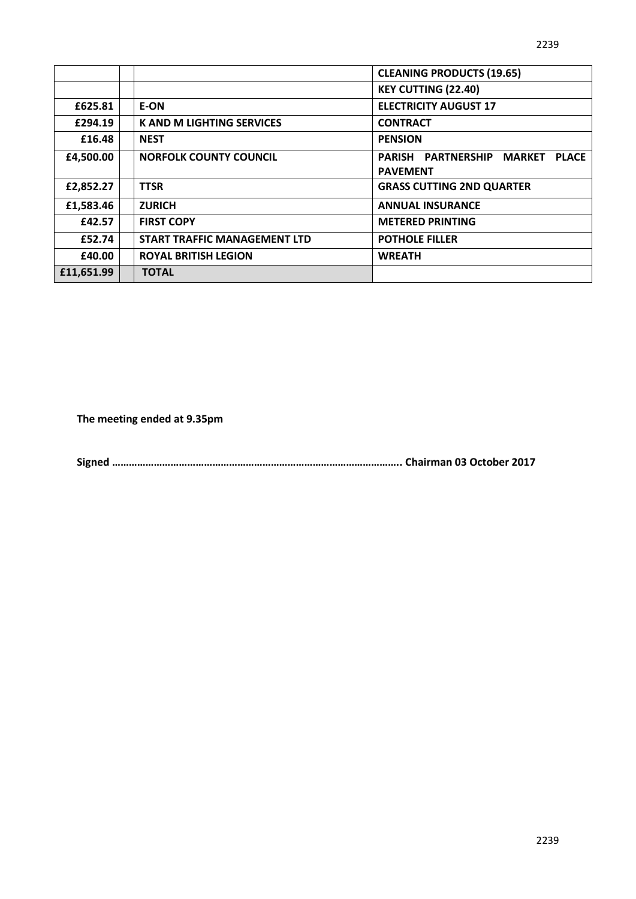|            |                                     | <b>CLEANING PRODUCTS (19.65)</b>                                       |
|------------|-------------------------------------|------------------------------------------------------------------------|
|            |                                     | <b>KEY CUTTING (22.40)</b>                                             |
| £625.81    | E-ON                                | <b>ELECTRICITY AUGUST 17</b>                                           |
| £294.19    | <b>K AND M LIGHTING SERVICES</b>    | <b>CONTRACT</b>                                                        |
| £16.48     | <b>NEST</b>                         | <b>PENSION</b>                                                         |
| £4,500.00  | <b>NORFOLK COUNTY COUNCIL</b>       | <b>PARISH PARTNERSHIP</b><br>MARKET<br><b>PLACE</b><br><b>PAVEMENT</b> |
| £2,852.27  | <b>TTSR</b>                         | <b>GRASS CUTTING 2ND QUARTER</b>                                       |
| £1,583.46  | <b>ZURICH</b>                       | <b>ANNUAL INSURANCE</b>                                                |
| £42.57     | <b>FIRST COPY</b>                   | <b>METERED PRINTING</b>                                                |
| £52.74     | <b>START TRAFFIC MANAGEMENT LTD</b> | <b>POTHOLE FILLER</b>                                                  |
| £40.00     | <b>ROYAL BRITISH LEGION</b>         | <b>WREATH</b>                                                          |
| £11,651.99 | <b>TOTAL</b>                        |                                                                        |

**The meeting ended at 9.35pm** 

**Signed ………………………………………………………………………………………….. Chairman 03 October 2017**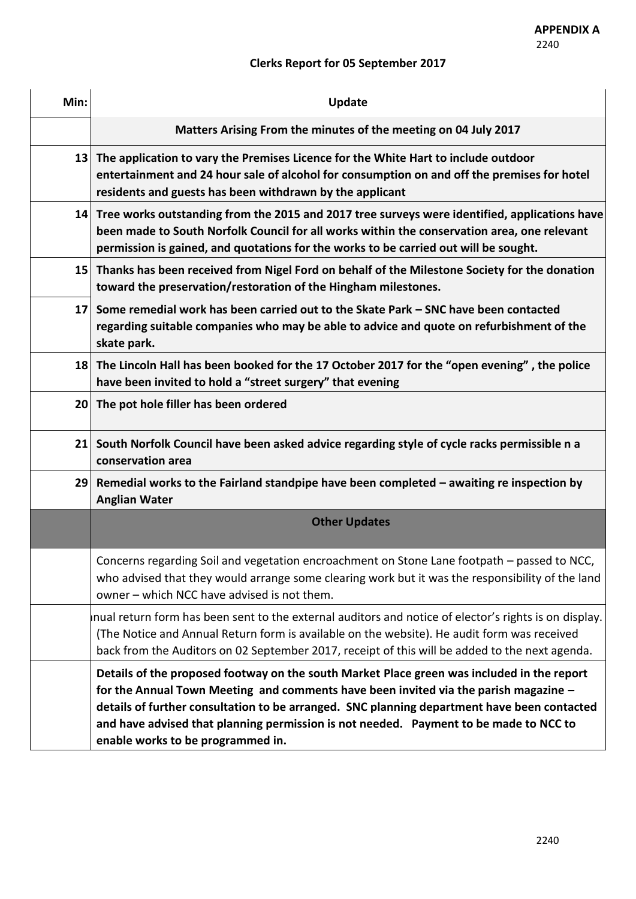# **Clerks Report for 05 September 2017**

| Min:            | <b>Update</b>                                                                                                                                                                                                                                                                                                                                                                                                   |
|-----------------|-----------------------------------------------------------------------------------------------------------------------------------------------------------------------------------------------------------------------------------------------------------------------------------------------------------------------------------------------------------------------------------------------------------------|
|                 | Matters Arising From the minutes of the meeting on 04 July 2017                                                                                                                                                                                                                                                                                                                                                 |
|                 | 13 The application to vary the Premises Licence for the White Hart to include outdoor<br>entertainment and 24 hour sale of alcohol for consumption on and off the premises for hotel<br>residents and guests has been withdrawn by the applicant                                                                                                                                                                |
|                 | 14 Tree works outstanding from the 2015 and 2017 tree surveys were identified, applications have<br>been made to South Norfolk Council for all works within the conservation area, one relevant<br>permission is gained, and quotations for the works to be carried out will be sought.                                                                                                                         |
|                 | 15 Thanks has been received from Nigel Ford on behalf of the Milestone Society for the donation<br>toward the preservation/restoration of the Hingham milestones.                                                                                                                                                                                                                                               |
| 17 <sup>1</sup> | Some remedial work has been carried out to the Skate Park - SNC have been contacted<br>regarding suitable companies who may be able to advice and quote on refurbishment of the<br>skate park.                                                                                                                                                                                                                  |
|                 | 18 The Lincoln Hall has been booked for the 17 October 2017 for the "open evening", the police<br>have been invited to hold a "street surgery" that evening                                                                                                                                                                                                                                                     |
|                 | 20 The pot hole filler has been ordered                                                                                                                                                                                                                                                                                                                                                                         |
| 21              | South Norfolk Council have been asked advice regarding style of cycle racks permissible n a<br>conservation area                                                                                                                                                                                                                                                                                                |
|                 | 29 Remedial works to the Fairland standpipe have been completed $-$ awaiting re inspection by<br><b>Anglian Water</b>                                                                                                                                                                                                                                                                                           |
|                 | <b>Other Updates</b>                                                                                                                                                                                                                                                                                                                                                                                            |
|                 | Concerns regarding Soil and vegetation encroachment on Stone Lane footpath - passed to NCC,<br>who advised that they would arrange some clearing work but it was the responsibility of the land<br>owner - which NCC have advised is not them.                                                                                                                                                                  |
|                 | nual return form has been sent to the external auditors and notice of elector's rights is on display.<br>(The Notice and Annual Return form is available on the website). He audit form was received<br>back from the Auditors on 02 September 2017, receipt of this will be added to the next agenda.                                                                                                          |
|                 | Details of the proposed footway on the south Market Place green was included in the report<br>for the Annual Town Meeting and comments have been invited via the parish magazine -<br>details of further consultation to be arranged. SNC planning department have been contacted<br>and have advised that planning permission is not needed. Payment to be made to NCC to<br>enable works to be programmed in. |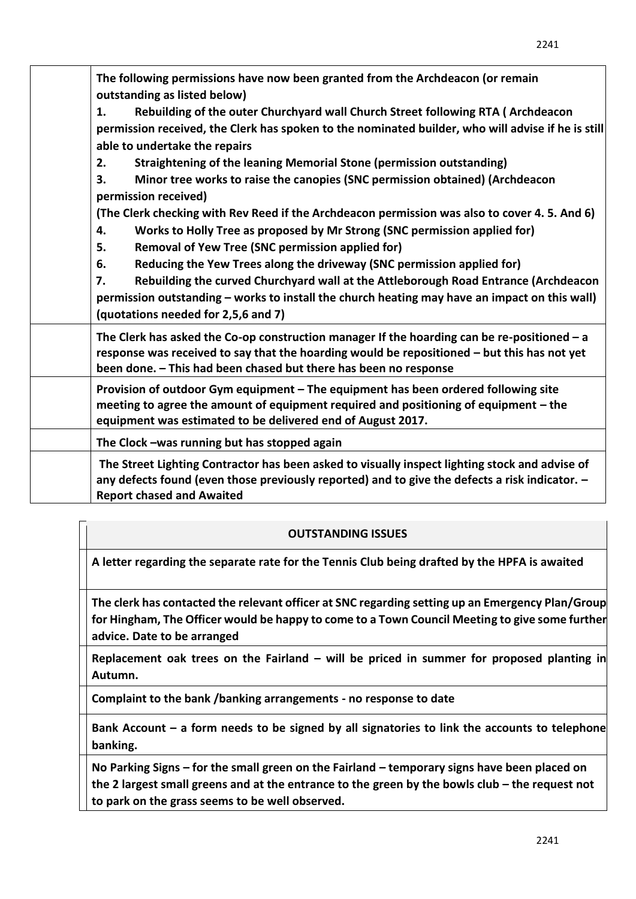| The following permissions have now been granted from the Archdeacon (or remain<br>outstanding as listed below)                                                                                                                                                  |
|-----------------------------------------------------------------------------------------------------------------------------------------------------------------------------------------------------------------------------------------------------------------|
| Rebuilding of the outer Churchyard wall Church Street following RTA (Archdeacon<br>1.                                                                                                                                                                           |
| permission received, the Clerk has spoken to the nominated builder, who will advise if he is still<br>able to undertake the repairs                                                                                                                             |
| Straightening of the leaning Memorial Stone (permission outstanding)<br>2.                                                                                                                                                                                      |
| Minor tree works to raise the canopies (SNC permission obtained) (Archdeacon<br>3.<br>permission received)                                                                                                                                                      |
|                                                                                                                                                                                                                                                                 |
| (The Clerk checking with Rev Reed if the Archdeacon permission was also to cover 4.5. And 6)<br>Works to Holly Tree as proposed by Mr Strong (SNC permission applied for)<br>4.<br><b>Removal of Yew Tree (SNC permission applied for)</b><br>5.                |
| Reducing the Yew Trees along the driveway (SNC permission applied for)<br>6.                                                                                                                                                                                    |
|                                                                                                                                                                                                                                                                 |
| Rebuilding the curved Churchyard wall at the Attleborough Road Entrance (Archdeacon<br>7.<br>permission outstanding – works to install the church heating may have an impact on this wall)<br>(quotations needed for 2,5,6 and 7)                               |
| The Clerk has asked the Co-op construction manager If the hoarding can be re-positioned $-a$<br>response was received to say that the hoarding would be repositioned - but this has not yet<br>been done. - This had been chased but there has been no response |
| Provision of outdoor Gym equipment - The equipment has been ordered following site<br>meeting to agree the amount of equipment required and positioning of equipment - the<br>equipment was estimated to be delivered end of August 2017.                       |
| The Clock -was running but has stopped again                                                                                                                                                                                                                    |
| The Street Lighting Contractor has been asked to visually inspect lighting stock and advise of<br>any defects found (even those previously reported) and to give the defects a risk indicator. -<br><b>Report chased and Awaited</b>                            |

# **OUTSTANDING ISSUES**

**A letter regarding the separate rate for the Tennis Club being drafted by the HPFA is awaited**

**The clerk has contacted the relevant officer at SNC regarding setting up an Emergency Plan/Group for Hingham, The Officer would be happy to come to a Town Council Meeting to give some further advice. Date to be arranged**

**Replacement oak trees on the Fairland – will be priced in summer for proposed planting in Autumn.** 

**Complaint to the bank /banking arrangements - no response to date** 

**Bank Account – a form needs to be signed by all signatories to link the accounts to telephone banking.** 

**No Parking Signs – for the small green on the Fairland – temporary signs have been placed on the 2 largest small greens and at the entrance to the green by the bowls club – the request not to park on the grass seems to be well observed.** 

2241